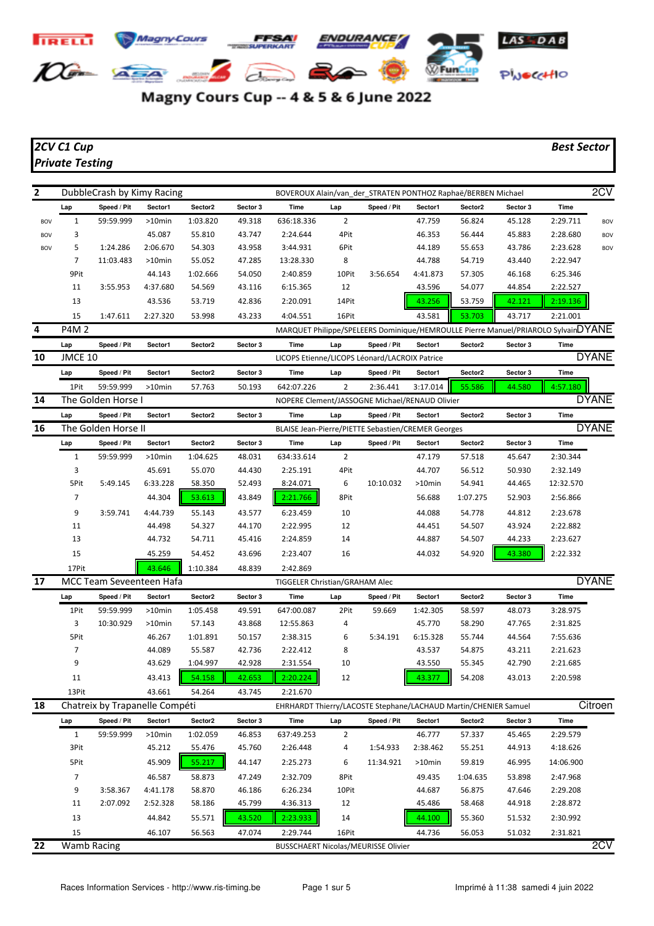

## Magny Cours Cup -- 4 & 5 & 6 June 2022

## *2CV C1 Cup Best Sector Private Testing*

| $\mathbf{2}$ |              | DubbleCrash by Kimy Racing     |           |          |          | BOVEROUX Alain/van_der_STRATEN PONTHOZ Raphaë/BERBEN Michael    |                |             |           |          |          |                                                                                   | 2CV          |
|--------------|--------------|--------------------------------|-----------|----------|----------|-----------------------------------------------------------------|----------------|-------------|-----------|----------|----------|-----------------------------------------------------------------------------------|--------------|
|              | Lap          | Speed / Pit                    | Sector1   | Sector2  | Sector 3 | Time                                                            | Lap            | Speed / Pit | Sector1   | Sector2  | Sector 3 | Time                                                                              |              |
| BOV          | $\mathbf{1}$ | 59:59.999                      | >10min    | 1:03.820 | 49.318   | 636:18.336                                                      | $\overline{2}$ |             | 47.759    | 56.824   | 45.128   | 2:29.711                                                                          | <b>BOV</b>   |
| <b>BOV</b>   | 3            |                                | 45.087    | 55.810   | 43.747   | 2:24.644                                                        | 4Pit           |             | 46.353    | 56.444   | 45.883   | 2:28.680                                                                          | <b>BOV</b>   |
| <b>BOV</b>   | 5            | 1:24.286                       | 2:06.670  | 54.303   | 43.958   | 3:44.931                                                        | 6Pit           |             | 44.189    | 55.653   | 43.786   | 2:23.628                                                                          | <b>BOV</b>   |
|              | 7            | 11:03.483                      | $>10$ min | 55.052   | 47.285   | 13:28.330                                                       | 8              |             | 44.788    | 54.719   | 43.440   | 2:22.947                                                                          |              |
|              | 9Pit         |                                | 44.143    | 1:02.666 | 54.050   | 2:40.859                                                        | 10Pit          | 3:56.654    | 4:41.873  | 57.305   | 46.168   | 6:25.346                                                                          |              |
|              | 11           | 3:55.953                       | 4:37.680  | 54.569   | 43.116   | 6:15.365                                                        | 12             |             | 43.596    | 54.077   | 44.854   | 2:22.527                                                                          |              |
|              | 13           |                                | 43.536    | 53.719   | 42.836   | 2:20.091                                                        | 14Pit          |             | 43.256    | 53.759   | 42.121   | 2:19.136                                                                          |              |
|              | 15           | 1:47.611                       | 2:27.320  | 53.998   | 43.233   | 4:04.551                                                        | 16Pit          |             | 43.581    | 53.703   | 43.717   | 2:21.001                                                                          |              |
| 4            | <b>P4M2</b>  |                                |           |          |          |                                                                 |                |             |           |          |          | MARQUET Philippe/SPELEERS Dominique/HEMROULLE Pierre Manuel/PRIAROLO SylvainDYANE |              |
|              | Lap          | Speed / Pit                    | Sector1   | Sector2  | Sector 3 | Time                                                            | Lap            | Speed / Pit | Sector1   | Sector2  | Sector 3 | Time                                                                              |              |
| 10           | JMCE 10      |                                |           |          |          | LICOPS Etienne/LICOPS Léonard/LACROIX Patrice                   |                |             |           |          |          |                                                                                   | <b>DYANE</b> |
|              | Lap          | Speed / Pit                    | Sector1   | Sector2  | Sector 3 | Time                                                            | Lap            | Speed / Pit | Sector1   | Sector2  | Sector 3 | Time                                                                              |              |
|              | 1Pit         | 59:59.999                      | >10min    | 57.763   | 50.193   | 642:07.226                                                      | $\overline{2}$ | 2:36.441    | 3:17.014  | 55.586   | 44.580   | 4:57.180                                                                          |              |
| 14           |              | The Golden Horse I             |           |          |          | NOPERE Clement/JASSOGNE Michael/RENAUD Olivier                  |                |             |           |          |          |                                                                                   | <b>DYANE</b> |
|              | Lap          | Speed / Pit                    | Sector1   | Sector2  | Sector 3 | Time                                                            | Lap            | Speed / Pit | Sector1   | Sector2  | Sector 3 | Time                                                                              |              |
| 16           |              | The Golden Horse II            |           |          |          | BLAISE Jean-Pierre/PIETTE Sebastien/CREMER Georges              |                |             |           |          |          |                                                                                   | <b>DYANE</b> |
|              | Lap          | Speed / Pit                    | Sector1   | Sector2  | Sector 3 | Time                                                            | Lap            | Speed / Pit | Sector1   | Sector2  | Sector 3 | Time                                                                              |              |
|              | $\mathbf{1}$ | 59:59.999                      | >10min    | 1:04.625 | 48.031   | 634:33.614                                                      | 2              |             | 47.179    | 57.518   | 45.647   | 2:30.344                                                                          |              |
|              | 3            |                                | 45.691    | 55.070   | 44.430   | 2:25.191                                                        | 4Pit           |             | 44.707    | 56.512   | 50.930   | 2:32.149                                                                          |              |
|              | 5Pit         | 5:49.145                       | 6:33.228  | 58.350   | 52.493   | 8:24.071                                                        | 6              | 10:10.032   | >10min    | 54.941   | 44.465   | 12:32.570                                                                         |              |
|              | 7            |                                | 44.304    | 53.613   | 43.849   | 2:21.766                                                        | 8Pit           |             | 56.688    | 1:07.275 | 52.903   | 2:56.866                                                                          |              |
|              | 9            | 3:59.741                       | 4:44.739  | 55.143   | 43.577   | 6:23.459                                                        | 10             |             | 44.088    | 54.778   | 44.812   | 2:23.678                                                                          |              |
|              | 11           |                                | 44.498    | 54.327   | 44.170   | 2:22.995                                                        | 12             |             | 44.451    | 54.507   | 43.924   | 2:22.882                                                                          |              |
|              | 13           |                                | 44.732    | 54.711   | 45.416   | 2:24.859                                                        | 14             |             | 44.887    | 54.507   | 44.233   | 2:23.627                                                                          |              |
|              | 15           |                                | 45.259    | 54.452   | 43.696   | 2:23.407                                                        | 16             |             | 44.032    | 54.920   | 43.380   | 2:22.332                                                                          |              |
|              | 17Pit        |                                | 43.646    | 1:10.384 | 48.839   | 2:42.869                                                        |                |             |           |          |          |                                                                                   |              |
| 17           |              | MCC Team Seveenteen Hafa       |           |          |          | TIGGELER Christian/GRAHAM Alec                                  |                |             |           |          |          |                                                                                   | <b>DYANE</b> |
|              | Lap          | Speed / Pit                    | Sector1   | Sector2  | Sector 3 | Time                                                            | Lap            | Speed / Pit | Sector1   | Sector2  | Sector 3 | Time                                                                              |              |
|              | 1Pit         | 59:59.999                      | >10min    | 1:05.458 | 49.591   | 647:00.087                                                      | 2Pit           | 59.669      | 1:42.305  | 58.597   | 48.073   | 3:28.975                                                                          |              |
|              | 3            | 10:30.929                      | >10min    | 57.143   | 43.868   | 12:55.863                                                       | 4              |             | 45.770    | 58.290   | 47.765   | 2:31.825                                                                          |              |
|              | 5Pit         |                                | 46.267    | 1:01.891 | 50.157   | 2:38.315                                                        | 6              | 5:34.191    | 6:15.328  | 55.744   | 44.564   | 7:55.636                                                                          |              |
|              | 7            |                                | 44.089    | 55.587   | 42.736   | 2:22.412                                                        | 8              |             | 43.537    | 54.875   | 43.211   | 2:21.623                                                                          |              |
|              | 9            |                                | 43.629    | 1:04.997 | 42.928   | 2:31.554                                                        | 10             |             | 43.550    | 55.345   | 42.790   | 2:21.685                                                                          |              |
|              | 11           |                                | 43.413    | 54.158   | 42.653   | 2:20.224                                                        | 12             |             | 43.377    | 54.208   | 43.013   | 2:20.598                                                                          |              |
|              | 13Pit        |                                | 43.661    | 54.264   | 43.745   | 2:21.670                                                        |                |             |           |          |          |                                                                                   |              |
| 18           |              | Chatreix by Trapanelle Compéti |           |          |          | EHRHARDT Thierry/LACOSTE Stephane/LACHAUD Martin/CHENIER Samuel |                |             |           |          |          |                                                                                   | Citroen      |
|              | Lap          | Speed / Pit                    | Sector1   | Sector2  | Sector 3 | Time                                                            | Lap            | Speed / Pit | Sector1   | Sector2  | Sector 3 | Time                                                                              |              |
|              | $\mathbf{1}$ | 59:59.999                      | >10min    | 1:02.059 | 46.853   | 637:49.253                                                      | 2              |             | 46.777    | 57.337   | 45.465   | 2:29.579                                                                          |              |
|              | 3Pit         |                                | 45.212    | 55.476   | 45.760   | 2:26.448                                                        | 4              | 1:54.933    | 2:38.462  | 55.251   | 44.913   | 4:18.626                                                                          |              |
|              | 5Pit         |                                | 45.909    | 55.217   | 44.147   | 2:25.273                                                        | 6              | 11:34.921   | $>10$ min | 59.819   | 46.995   | 14:06.900                                                                         |              |
|              | 7            |                                | 46.587    | 58.873   | 47.249   | 2:32.709                                                        | 8Pit           |             | 49.435    | 1:04.635 | 53.898   | 2:47.968                                                                          |              |
|              | 9            | 3:58.367                       | 4:41.178  | 58.870   | 46.186   | 6:26.234                                                        | 10Pit          |             | 44.687    | 56.875   | 47.646   | 2:29.208                                                                          |              |
|              | 11           | 2:07.092                       | 2:52.328  | 58.186   | 45.799   | 4:36.313                                                        | 12             |             | 45.486    | 58.468   | 44.918   | 2:28.872                                                                          |              |
|              | 13           |                                | 44.842    | 55.571   | 43.520   | 2:23.933                                                        | 14             |             | 44.100    | 55.360   | 51.532   | 2:30.992                                                                          |              |
|              | 15           |                                | 46.107    | 56.563   | 47.074   | 2:29.744                                                        | 16Pit          |             | 44.736    | 56.053   | 51.032   | 2:31.821                                                                          |              |
| 22           |              | Wamb Racing                    |           |          |          | <b>BUSSCHAERT Nicolas/MEURISSE Olivier</b>                      |                |             |           |          |          |                                                                                   | 2CV          |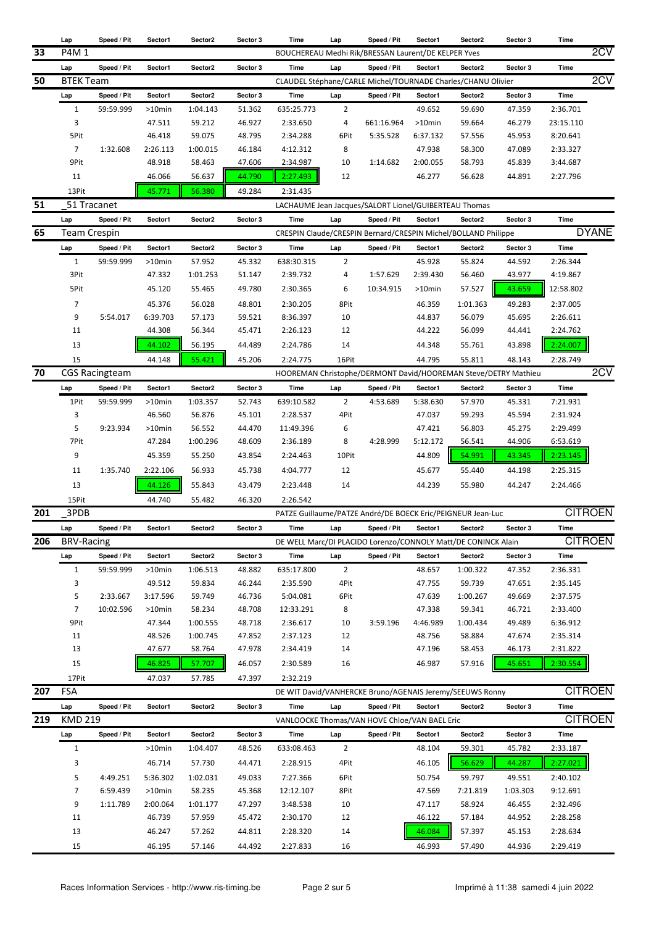|     | Lap                 | Speed / Pit           | Sector1   | Sector2  | Sector 3 | Time                                                        | Lap            | Speed / Pit                                                    | Sector1  | Sector2             | Sector 3 | Time        |                |
|-----|---------------------|-----------------------|-----------|----------|----------|-------------------------------------------------------------|----------------|----------------------------------------------------------------|----------|---------------------|----------|-------------|----------------|
| 33  | P4M 1               |                       |           |          |          |                                                             |                | BOUCHEREAU Medhi Rik/BRESSAN Laurent/DE KELPER Yves            |          |                     |          |             | 2CV            |
|     | Lap                 | Speed / Pit           | Sector1   | Sector2  | Sector 3 | Time                                                        | Lap            | Speed / Pit                                                    | Sector1  | Sector2             | Sector 3 | Time        |                |
| 50  | <b>BTEK Team</b>    |                       |           |          |          |                                                             |                | CLAUDEL Stéphane/CARLE Michel/TOURNADE Charles/CHANU Olivier   |          |                     |          |             | 2CV            |
|     | Lap                 | Speed / Pit           | Sector1   | Sector2  | Sector 3 | <b>Time</b>                                                 | Lap            | Speed / Pit                                                    | Sector1  | Sector2             | Sector 3 | <b>Time</b> |                |
|     |                     |                       |           |          |          |                                                             |                |                                                                | 49.652   |                     |          |             |                |
|     | $\mathbf{1}$        | 59:59.999             | $>10$ min | 1:04.143 | 51.362   | 635:25.773                                                  | $\overline{2}$ |                                                                |          | 59.690              | 47.359   | 2:36.701    |                |
|     | 3                   |                       | 47.511    | 59.212   | 46.927   | 2:33.650                                                    | 4              | 661:16.964                                                     | >10min   | 59.664              | 46.279   | 23:15.110   |                |
|     | 5Pit                |                       | 46.418    | 59.075   | 48.795   | 2:34.288                                                    | 6Pit           | 5:35.528                                                       | 6:37.132 | 57.556              | 45.953   | 8:20.641    |                |
|     | $\overline{7}$      | 1:32.608              | 2:26.113  | 1:00.015 | 46.184   | 4:12.312                                                    | 8              |                                                                | 47.938   | 58.300              | 47.089   | 2:33.327    |                |
|     | 9Pit                |                       | 48.918    | 58.463   | 47.606   | 2:34.987                                                    | 10             | 1:14.682                                                       | 2:00.055 | 58.793              | 45.839   | 3:44.687    |                |
|     | 11                  |                       | 46.066    | 56.637   | 44.790   | 2:27.493                                                    | 12             |                                                                | 46.277   | 56.628              | 44.891   | 2:27.796    |                |
|     | 13Pit               |                       | 45.771    | 56.380   | 49.284   | 2:31.435                                                    |                |                                                                |          |                     |          |             |                |
| 51  |                     | 51 Tracanet           |           |          |          | LACHAUME Jean Jacques/SALORT Lionel/GUIBERTEAU Thomas       |                |                                                                |          |                     |          |             |                |
|     | Lap                 | Speed / Pit           | Sector1   | Sector2  | Sector 3 | Time                                                        | Lap            | Speed / Pit                                                    | Sector1  | Sector2             | Sector 3 | Time        |                |
| 65  | <b>Team Crespin</b> |                       |           |          |          |                                                             |                | CRESPIN Claude/CRESPIN Bernard/CRESPIN Michel/BOLLAND Philippe |          |                     |          |             | <b>DYANE</b>   |
|     |                     |                       |           |          |          |                                                             |                |                                                                |          |                     |          |             |                |
|     | Lap                 | Speed / Pit           | Sector1   | Sector2  | Sector 3 | Time                                                        | Lap            | Speed / Pit                                                    | Sector1  | Sector2             | Sector 3 | <b>Time</b> |                |
|     | $\mathbf{1}$        | 59:59.999             | $>10$ min | 57.952   | 45.332   | 638:30.315                                                  | $\overline{2}$ |                                                                | 45.928   | 55.824              | 44.592   | 2:26.344    |                |
|     | 3Pit                |                       | 47.332    | 1:01.253 | 51.147   | 2:39.732                                                    | 4              | 1:57.629                                                       | 2:39.430 | 56.460              | 43.977   | 4:19.867    |                |
|     | 5Pit                |                       | 45.120    | 55.465   | 49.780   | 2:30.365                                                    | 6              | 10:34.915                                                      | >10min   | 57.527              | 43.659   | 12:58.802   |                |
|     | 7                   |                       | 45.376    | 56.028   | 48.801   | 2:30.205                                                    | 8Pit           |                                                                | 46.359   | 1:01.363            | 49.283   | 2:37.005    |                |
|     | 9                   | 5:54.017              | 6:39.703  | 57.173   | 59.521   | 8:36.397                                                    | 10             |                                                                | 44.837   | 56.079              | 45.695   | 2:26.611    |                |
|     | 11                  |                       | 44.308    | 56.344   | 45.471   | 2:26.123                                                    | 12             |                                                                | 44.222   | 56.099              | 44.441   | 2:24.762    |                |
|     | 13                  |                       | 44.102    | 56.195   | 44.489   | 2:24.786                                                    | 14             |                                                                | 44.348   | 55.761              | 43.898   | 2:24.007    |                |
|     |                     |                       |           |          |          |                                                             |                |                                                                |          |                     |          |             |                |
|     | 15                  |                       | 44.148    | 55.421   | 45.206   | 2:24.775                                                    | 16Pit          |                                                                | 44.795   | 55.811              | 48.143   | 2:28.749    |                |
| 70  |                     | <b>CGS Racingteam</b> |           |          |          |                                                             |                | HOOREMAN Christophe/DERMONT David/HOOREMAN Steve/DETRY Mathieu |          |                     |          |             | 2CV            |
|     | Lap                 | Speed / Pit           | Sector1   | Sector2  | Sector 3 | Time                                                        | Lap            | Speed / Pit                                                    | Sector1  | Sector2             | Sector 3 | Time        |                |
|     | 1Pit                | 59:59.999             | $>10$ min | 1:03.357 | 52.743   | 639:10.582                                                  | $\overline{2}$ | 4:53.689                                                       | 5:38.630 | 57.970              | 45.331   | 7:21.931    |                |
|     | 3                   |                       | 46.560    | 56.876   | 45.101   | 2:28.537                                                    | 4Pit           |                                                                | 47.037   | 59.293              | 45.594   | 2:31.924    |                |
|     | 5                   | 9:23.934              | $>10$ min | 56.552   | 44.470   | 11:49.396                                                   | 6              |                                                                | 47.421   | 56.803              | 45.275   | 2:29.499    |                |
|     | 7Pit                |                       | 47.284    | 1:00.296 | 48.609   | 2:36.189                                                    | 8              | 4:28.999                                                       | 5:12.172 | 56.541              | 44.906   | 6:53.619    |                |
|     | 9                   |                       | 45.359    | 55.250   | 43.854   | 2:24.463                                                    | 10Pit          |                                                                | 44.809   | 54.991              | 43.345   | 2:23.145    |                |
|     | 11                  | 1:35.740              | 2:22.106  | 56.933   | 45.738   | 4:04.777                                                    | 12             |                                                                | 45.677   | 55.440              | 44.198   | 2:25.315    |                |
|     | 13                  |                       | 44.126    | 55.843   | 43.479   | 2:23.448                                                    | 14             |                                                                | 44.239   | 55.980              | 44.247   | 2:24.466    |                |
|     |                     |                       |           |          |          |                                                             |                |                                                                |          |                     |          |             |                |
|     | 15Pit               |                       | 44.740    | 55.482   | 46.320   | 2:26.542                                                    |                |                                                                |          |                     |          |             |                |
| 201 | 3PDB                |                       |           |          |          | PATZE Guillaume/PATZE André/DE BOECK Eric/PEIGNEUR Jean-Luc |                |                                                                |          |                     |          |             | <b>CITROEN</b> |
|     | Lap                 | Speed / Pit           | Sector1   | Sector2  | Sector 3 | Time                                                        | Lap            | Speed / Pit                                                    | Sector1  | Sector2             | Sector 3 | Time        |                |
| 206 | <b>BRV-Racing</b>   |                       |           |          |          |                                                             |                | DE WELL Marc/DI PLACIDO Lorenzo/CONNOLY Matt/DE CONINCK Alain  |          |                     |          |             | <b>CITROEN</b> |
|     | Lap                 | Speed / Pit           | Sector1   | Sector2  | Sector 3 | Time                                                        | Lap            | Speed / Pit                                                    | Sector1  | Sector2             | Sector 3 | Time        |                |
|     | $\mathbf{1}$        | 59:59.999             | >10min    | 1:06.513 | 48.882   | 635:17.800                                                  | $\overline{2}$ |                                                                | 48.657   | 1:00.322            | 47.352   | 2:36.331    |                |
|     | 3                   |                       | 49.512    | 59.834   | 46.244   | 2:35.590                                                    | 4Pit           |                                                                | 47.755   | 59.739              | 47.651   | 2:35.145    |                |
|     | 5                   | 2:33.667              | 3:17.596  | 59.749   | 46.736   | 5:04.081                                                    | 6Pit           |                                                                | 47.639   | 1:00.267            | 49.669   | 2:37.575    |                |
|     | $\overline{7}$      | 10:02.596             | $>10$ min | 58.234   | 48.708   | 12:33.291                                                   | 8              |                                                                | 47.338   | 59.341              | 46.721   | 2:33.400    |                |
|     | 9Pit                |                       | 47.344    | 1:00.555 | 48.718   | 2:36.617                                                    | 10             | 3:59.196                                                       | 4:46.989 | 1:00.434            | 49.489   | 6:36.912    |                |
|     | 11                  |                       | 48.526    | 1:00.745 | 47.852   | 2:37.123                                                    | 12             |                                                                | 48.756   | 58.884              | 47.674   | 2:35.314    |                |
|     | 13                  |                       | 47.677    | 58.764   | 47.978   | 2:34.419                                                    | 14             |                                                                | 47.196   | 58.453              | 46.173   | 2:31.822    |                |
|     |                     |                       |           |          |          |                                                             |                |                                                                |          |                     |          |             |                |
|     | 15                  |                       | 46.825    | 57.707   | 46.057   | 2:30.589                                                    | 16             |                                                                | 46.987   | 57.916              | 45.651   | 2:30.554    |                |
|     | 17Pit               |                       | 47.037    | 57.785   | 47.397   | 2:32.219                                                    |                |                                                                |          |                     |          |             |                |
| 207 | <b>FSA</b>          |                       |           |          |          |                                                             |                | DE WIT David/VANHERCKE Bruno/AGENAIS Jeremy/SEEUWS Ronny       |          |                     |          |             | <b>CITROEN</b> |
|     | Lap                 | Speed / Pit           | Sector1   | Sector2  | Sector 3 | Time                                                        | Lap            | Speed / Pit                                                    | Sector1  | Sector <sub>2</sub> | Sector 3 | Time        |                |
| 219 | <b>KMD 219</b>      |                       |           |          |          | VANLOOCKE Thomas/VAN HOVE Chloe/VAN BAEL Eric               |                |                                                                |          |                     |          |             | <b>CITROEN</b> |
|     | Lap                 | Speed / Pit           | Sector1   | Sector2  | Sector 3 | Time                                                        | Lap            | Speed / Pit                                                    | Sector1  | Sector2             | Sector 3 | Time        |                |
|     | $\mathbf{1}$        |                       | >10min    | 1:04.407 | 48.526   | 633:08.463                                                  | $\overline{2}$ |                                                                | 48.104   | 59.301              | 45.782   | 2:33.187    |                |
|     | 3                   |                       | 46.714    | 57.730   |          | 2:28.915                                                    | 4Pit           |                                                                | 46.105   | 56.629              | 44.287   | 2:27.021    |                |
|     |                     |                       |           |          | 44.471   |                                                             |                |                                                                |          |                     |          |             |                |
|     | 5                   | 4:49.251              | 5:36.302  | 1:02.031 | 49.033   | 7:27.366                                                    | 6Pit           |                                                                | 50.754   | 59.797              | 49.551   | 2:40.102    |                |
|     | 7                   | 6:59.439              | >10min    | 58.235   | 45.368   | 12:12.107                                                   | 8Pit           |                                                                | 47.569   | 7:21.819            | 1:03.303 | 9:12.691    |                |
|     | 9                   | 1:11.789              | 2:00.064  | 1:01.177 | 47.297   | 3:48.538                                                    | 10             |                                                                | 47.117   | 58.924              | 46.455   | 2:32.496    |                |
|     | 11                  |                       | 46.739    | 57.959   | 45.472   | 2:30.170                                                    | 12             |                                                                | 46.122   | 57.184              | 44.952   | 2:28.258    |                |
|     | 13                  |                       | 46.247    | 57.262   | 44.811   | 2:28.320                                                    | 14             |                                                                | 46.084   | 57.397              | 45.153   | 2:28.634    |                |
|     | 15                  |                       | 46.195    | 57.146   | 44.492   | 2:27.833                                                    | 16             |                                                                | 46.993   | 57.490              | 44.936   | 2:29.419    |                |
|     |                     |                       |           |          |          |                                                             |                |                                                                |          |                     |          |             |                |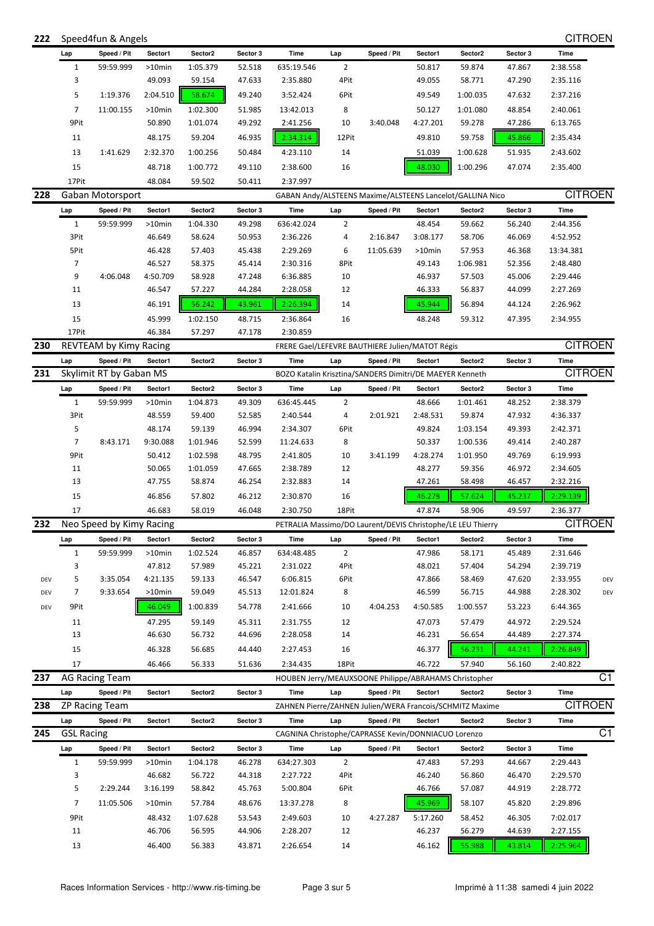|  | 222 Speed4fun & Angels | <b>CITROEN</b> |
|--|------------------------|----------------|
|--|------------------------|----------------|

|     | Lap               | Speed / Pit              | Sector1   | Sector2  | Sector 3 | Time                                                        | Lap            | Speed / Pit | Sector1  | Sector2  | Sector 3 | Time           |     |
|-----|-------------------|--------------------------|-----------|----------|----------|-------------------------------------------------------------|----------------|-------------|----------|----------|----------|----------------|-----|
|     | $\mathbf{1}$      | 59:59.999                | >10min    | 1:05.379 | 52.518   | 635:19.546                                                  | $\overline{2}$ |             | 50.817   | 59.874   | 47.867   | 2:38.558       |     |
|     | 3                 |                          | 49.093    | 59.154   | 47.633   | 2:35.880                                                    | 4Pit           |             | 49.055   | 58.771   | 47.290   | 2:35.116       |     |
|     | 5                 | 1:19.376                 | 2:04.510  | 58.674   | 49.240   | 3:52.424                                                    | 6Pit           |             | 49.549   | 1:00.035 | 47.632   | 2:37.216       |     |
|     | $\overline{7}$    | 11:00.155                | $>10$ min | 1:02.300 | 51.985   | 13:42.013                                                   | 8              |             | 50.127   | 1:01.080 | 48.854   | 2:40.061       |     |
|     | 9Pit              |                          | 50.890    | 1:01.074 | 49.292   | 2:41.256                                                    | 10             | 3:40.048    | 4:27.201 | 59.278   | 47.286   | 6:13.765       |     |
|     | 11                |                          | 48.175    | 59.204   | 46.935   | 2:34.314                                                    | 12Pit          |             | 49.810   | 59.758   | 45.866   | 2:35.434       |     |
|     | 13                | 1:41.629                 | 2:32.370  | 1:00.256 | 50.484   | 4:23.110                                                    | 14             |             | 51.039   | 1:00.628 | 51.935   | 2:43.602       |     |
|     |                   |                          |           |          |          |                                                             |                |             |          |          |          |                |     |
|     | 15                |                          | 48.718    | 1:00.772 | 49.110   | 2:38.600                                                    | 16             |             | 48.030   | 1:00.296 | 47.074   | 2:35.400       |     |
|     | 17Pit             |                          | 48.084    | 59.502   | 50.411   | 2:37.997                                                    |                |             |          |          |          | <b>CITROEN</b> |     |
| 228 |                   | Gaban Motorsport         |           |          |          | GABAN Andy/ALSTEENS Maxime/ALSTEENS Lancelot/GALLINA Nico   |                |             |          |          |          |                |     |
|     | Lap               | Speed / Pit              | Sector1   | Sector2  | Sector 3 | Time                                                        | Lap            | Speed / Pit | Sector1  | Sector2  | Sector 3 | Time           |     |
|     | $\mathbf{1}$      | 59:59.999                | $>10$ min | 1:04.330 | 49.298   | 636:42.024                                                  | 2              |             | 48.454   | 59.662   | 56.240   | 2:44.356       |     |
|     | 3Pit              |                          | 46.649    | 58.624   | 50.953   | 2:36.226                                                    | 4              | 2:16.847    | 3:08.177 | 58.706   | 46.069   | 4:52.952       |     |
|     | 5Pit              |                          | 46.428    | 57.403   | 45.438   | 2:29.269                                                    | 6              | 11:05.639   | >10min   | 57.953   | 46.368   | 13:34.381      |     |
|     | 7                 |                          | 46.527    | 58.375   | 45.414   | 2:30.316                                                    | 8Pit           |             | 49.143   | 1:06.981 | 52.356   | 2:48.480       |     |
|     | 9                 | 4:06.048                 | 4:50.709  | 58.928   | 47.248   | 6:36.885                                                    | 10             |             | 46.937   | 57.503   | 45.006   | 2:29.446       |     |
|     | 11                |                          | 46.547    | 57.227   | 44.284   | 2:28.058                                                    | 12             |             | 46.333   | 56.837   | 44.099   | 2:27.269       |     |
|     | 13                |                          | 46.191    | 56.242   | 43.961   | 2:26.394                                                    | 14             |             | 45.944   | 56.894   | 44.124   | 2:26.962       |     |
|     | 15                |                          | 45.999    | 1:02.150 | 48.715   | 2:36.864                                                    | 16             |             | 48.248   | 59.312   | 47.395   | 2:34.955       |     |
|     | 17Pit             |                          | 46.384    | 57.297   | 47.178   | 2:30.859                                                    |                |             |          |          |          |                |     |
| 230 |                   | REVTEAM by Kimy Racing   |           |          |          | FRERE Gael/LEFEVRE BAUTHIERE Julien/MATOT Régis             |                |             |          |          |          | <b>CITROEN</b> |     |
|     | Lap               | Speed / Pit              | Sector1   | Sector2  | Sector 3 | Time                                                        | Lap            | Speed / Pit | Sector1  | Sector2  | Sector 3 | Time           |     |
| 231 |                   | Skylimit RT by Gaban MS  |           |          |          | BOZO Katalin Krisztina/SANDERS Dimitri/DE MAEYER Kenneth    |                |             |          |          |          | <b>CITROEN</b> |     |
|     | Lap               | Speed / Pit              | Sector1   | Sector2  | Sector 3 | Time                                                        | Lap            | Speed / Pit | Sector1  | Sector2  | Sector 3 | Time           |     |
|     | $\mathbf{1}$      | 59:59.999                | $>10$ min | 1:04.873 | 49.309   | 636:45.445                                                  | $\overline{2}$ |             | 48.666   | 1:01.461 | 48.252   | 2:38.379       |     |
|     | 3Pit              |                          | 48.559    | 59.400   | 52.585   | 2:40.544                                                    | 4              | 2:01.921    | 2:48.531 | 59.874   | 47.932   | 4:36.337       |     |
|     | 5                 |                          | 48.174    | 59.139   | 46.994   | 2:34.307                                                    | 6Pit           |             | 49.824   | 1:03.154 | 49.393   | 2:42.371       |     |
|     | $\overline{7}$    | 8:43.171                 | 9:30.088  | 1:01.946 | 52.599   | 11:24.633                                                   | 8              |             | 50.337   | 1:00.536 | 49.414   | 2:40.287       |     |
|     | 9Pit              |                          | 50.412    | 1:02.598 | 48.795   | 2:41.805                                                    | 10             | 3:41.199    | 4:28.274 | 1:01.950 | 49.769   | 6:19.993       |     |
|     | 11                |                          | 50.065    | 1:01.059 | 47.665   | 2:38.789                                                    | 12             |             | 48.277   | 59.356   | 46.972   | 2:34.605       |     |
|     | 13                |                          | 47.755    | 58.874   | 46.254   | 2:32.883                                                    | 14             |             | 47.261   | 58.498   | 46.457   | 2:32.216       |     |
|     | 15                |                          | 46.856    | 57.802   | 46.212   | 2:30.870                                                    | 16             |             | 46.278   | 57.624   | 45.237   | 2:29.139       |     |
|     | 17                |                          | 46.683    | 58.019   | 46.048   | 2:30.750                                                    | 18Pit          |             | 47.874   | 58.906   | 49.597   | 2:36.377       |     |
| 232 |                   | Neo Speed by Kimy Racing |           |          |          | PETRALIA Massimo/DO Laurent/DEVIS Christophe/LE LEU Thierry |                |             |          |          |          | <b>CITROEN</b> |     |
|     | Lap               | Speed / Pit              | Sector1   | Sector2  | Sector 3 | Time                                                        | Lap            | Speed / Pit | Sector1  | Sector2  | Sector 3 | Time           |     |
|     | 1                 | 59:59.999                | >10min    | 1:02.524 | 46.857   | 634:48.485                                                  | 2              |             | 47.986   | 58.171   | 45.489   | 2:31.646       |     |
|     | 3                 |                          | 47.812    | 57.989   | 45.221   | 2:31.022                                                    | 4Pit           |             | 48.021   | 57.404   | 54.294   | 2:39.719       |     |
| DEV | 5                 | 3:35.054                 | 4:21.135  | 59.133   | 46.547   | 6:06.815                                                    | 6Pit           |             | 47.866   | 58.469   | 47.620   | 2:33.955       | DEV |
| DEV | 7                 | 9:33.654                 | >10min    | 59.049   | 45.513   | 12:01.824                                                   | 8              |             | 46.599   | 56.715   | 44.988   | 2:28.302       | DEV |
| DEV | 9Pit              |                          | 46.049    | 1:00.839 | 54.778   | 2:41.666                                                    | 10             | 4:04.253    | 4:50.585 | 1:00.557 | 53.223   | 6:44.365       |     |
|     | 11                |                          | 47.295    | 59.149   | 45.311   | 2:31.755                                                    | 12             |             | 47.073   | 57.479   | 44.972   | 2:29.524       |     |
|     | 13                |                          | 46.630    | 56.732   | 44.696   | 2:28.058                                                    | 14             |             | 46.231   | 56.654   | 44.489   | 2:27.374       |     |
|     | 15                |                          | 46.328    | 56.685   | 44.440   | 2:27.453                                                    | 16             |             | 46.377   | 56.231   | 44.241   | 2:26.849       |     |
|     | 17                |                          | 46.466    | 56.333   | 51.636   | 2:34.435                                                    | 18Pit          |             | 46.722   | 57.940   | 56.160   | 2:40.822       |     |
| 237 |                   | <b>AG Racing Team</b>    |           |          |          | HOUBEN Jerry/MEAUXSOONE Philippe/ABRAHAMS Christopher       |                |             |          |          |          |                | C1  |
|     | Lap               | Speed / Pit              | Sector1   | Sector2  | Sector 3 | Time                                                        | Lap            | Speed / Pit | Sector1  | Sector2  | Sector 3 | Time           |     |
| 238 |                   | <b>ZP Racing Team</b>    |           |          |          | ZAHNEN Pierre/ZAHNEN Julien/WERA Francois/SCHMITZ Maxime    |                |             |          |          |          | <b>CITROEN</b> |     |
|     | Lap               | Speed / Pit              | Sector1   | Sector2  | Sector 3 | Time                                                        | Lap            | Speed / Pit | Sector1  | Sector2  | Sector 3 |                |     |
| 245 | <b>GSL Racing</b> |                          |           |          |          | CAGNINA Christophe/CAPRASSE Kevin/DONNIACUO Lorenzo         |                |             |          |          |          | Time           | C1  |
|     |                   |                          |           |          |          |                                                             |                |             |          |          |          |                |     |
|     | Lap               | Speed / Pit              | Sector1   | Sector2  | Sector 3 | Time                                                        | Lap            | Speed / Pit | Sector1  | Sector2  | Sector 3 | Time           |     |
|     | $\mathbf{1}$      | 59:59.999                | >10min    | 1:04.178 | 46.278   | 634:27.303                                                  | $\overline{2}$ |             | 47.483   | 57.293   | 44.667   | 2:29.443       |     |
|     | 3                 |                          | 46.682    | 56.722   | 44.318   | 2:27.722                                                    | 4Pit           |             | 46.240   | 56.860   | 46.470   | 2:29.570       |     |
|     | 5                 | 2:29.244                 | 3:16.199  | 58.842   | 45.763   | 5:00.804                                                    | 6Pit           |             | 46.766   | 57.087   | 44.919   | 2:28.772       |     |
|     | 7                 | 11:05.506                | >10min    | 57.784   | 48.676   | 13:37.278                                                   | 8              |             | 45.969   | 58.107   | 45.820   | 2:29.896       |     |
|     | 9Pit              |                          | 48.432    | 1:07.628 | 53.543   | 2:49.603                                                    | 10             | 4:27.287    | 5:17.260 | 58.452   | 46.305   | 7:02.017       |     |
|     | 11                |                          | 46.706    | 56.595   | 44.906   | 2:28.207                                                    | 12             |             | 46.237   | 56.279   | 44.639   | 2:27.155       |     |
|     | 13                |                          | 46.400    | 56.383   | 43.871   | 2:26.654                                                    | 14             |             | 46.162   | 55.988   | 43.814   | 2:25.964       |     |
|     |                   |                          |           |          |          |                                                             |                |             |          |          |          |                |     |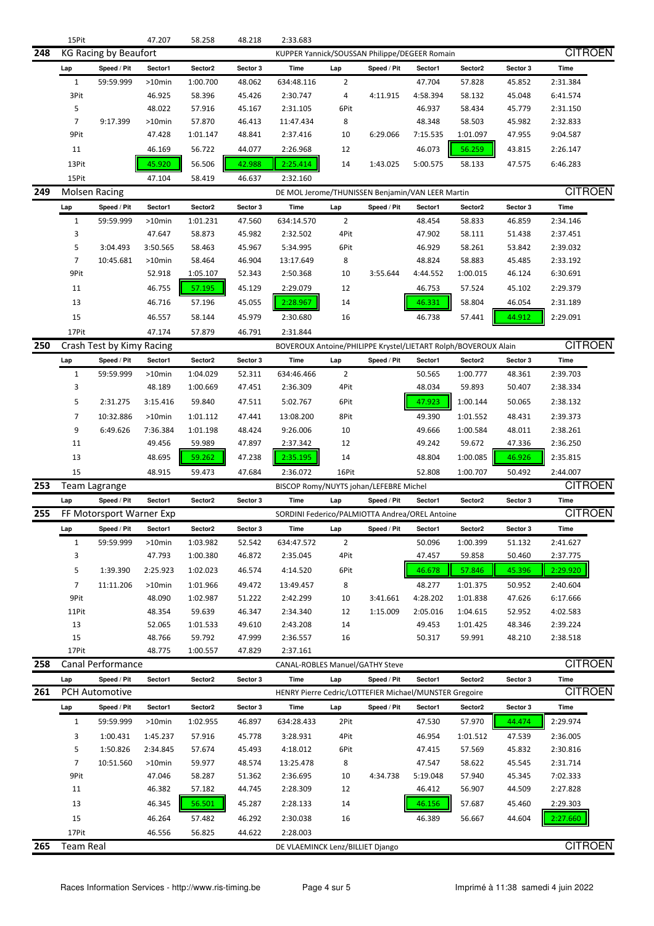|     | 15Pit            |                              | 47.207    | 58.258   | 48.218   | 2:33.683                                                       |                |             |          |          |          |                |  |
|-----|------------------|------------------------------|-----------|----------|----------|----------------------------------------------------------------|----------------|-------------|----------|----------|----------|----------------|--|
| 248 |                  | <b>KG Racing by Beaufort</b> |           |          |          | KUPPER Yannick/SOUSSAN Philippe/DEGEER Romain                  |                |             |          |          |          | <b>CITROEN</b> |  |
|     | Lap              | Speed / Pit                  | Sector1   | Sector2  | Sector 3 | Time                                                           | Lap            | Speed / Pit | Sector1  | Sector2  | Sector 3 | Time           |  |
|     | $\mathbf{1}$     | 59:59.999                    | $>10$ min | 1:00.700 | 48.062   | 634:48.116                                                     | 2              |             | 47.704   | 57.828   | 45.852   | 2:31.384       |  |
|     | 3Pit             |                              | 46.925    | 58.396   | 45.426   | 2:30.747                                                       | 4              | 4:11.915    | 4:58.394 | 58.132   | 45.048   | 6:41.574       |  |
|     | 5                |                              | 48.022    | 57.916   | 45.167   | 2:31.105                                                       | 6Pit           |             | 46.937   | 58.434   | 45.779   | 2:31.150       |  |
|     | 7                | 9:17.399                     | $>10$ min | 57.870   | 46.413   | 11:47.434                                                      | 8              |             | 48.348   | 58.503   | 45.982   | 2:32.833       |  |
|     |                  |                              |           |          |          |                                                                |                |             |          |          |          |                |  |
|     | 9Pit             |                              | 47.428    | 1:01.147 | 48.841   | 2:37.416                                                       | 10             | 6:29.066    | 7:15.535 | 1:01.097 | 47.955   | 9:04.587       |  |
|     | 11               |                              | 46.169    | 56.722   | 44.077   | 2:26.968                                                       | 12             |             | 46.073   | 56.259   | 43.815   | 2:26.147       |  |
|     | 13Pit            |                              | 45.920    | 56.506   | 42.988   | 2:25.414                                                       | 14             | 1:43.025    | 5:00.575 | 58.133   | 47.575   | 6:46.283       |  |
|     | 15Pit            |                              | 47.104    | 58.419   | 46.637   | 2:32.160                                                       |                |             |          |          |          |                |  |
| 249 |                  | <b>Molsen Racing</b>         |           |          |          | DE MOL Jerome/THUNISSEN Benjamin/VAN LEER Martin               |                |             |          |          |          | <b>CITROEN</b> |  |
|     | Lap              | Speed / Pit                  | Sector1   | Sector2  | Sector 3 | Time                                                           | Lap            | Speed / Pit | Sector1  | Sector2  | Sector 3 | Time           |  |
|     | $\mathbf{1}$     | 59:59.999                    | $>10$ min | 1:01.231 | 47.560   | 634:14.570                                                     | 2              |             | 48.454   | 58.833   | 46.859   | 2:34.146       |  |
|     | 3                |                              | 47.647    | 58.873   | 45.982   | 2:32.502                                                       | 4Pit           |             | 47.902   | 58.111   | 51.438   | 2:37.451       |  |
|     | 5                | 3:04.493                     | 3:50.565  | 58.463   | 45.967   | 5:34.995                                                       | 6Pit           |             | 46.929   | 58.261   | 53.842   | 2:39.032       |  |
|     | 7                | 10:45.681                    | $>10$ min | 58.464   | 46.904   | 13:17.649                                                      | 8              |             | 48.824   | 58.883   | 45.485   | 2:33.192       |  |
|     | 9Pit             |                              |           |          |          |                                                                |                | 3:55.644    | 4:44.552 |          |          |                |  |
|     |                  |                              | 52.918    | 1:05.107 | 52.343   | 2:50.368                                                       | 10             |             |          | 1:00.015 | 46.124   | 6:30.691       |  |
|     | 11               |                              | 46.755    | 57.195   | 45.129   | 2:29.079                                                       | 12             |             | 46.753   | 57.524   | 45.102   | 2:29.379       |  |
|     | 13               |                              | 46.716    | 57.196   | 45.055   | 2:28.967                                                       | 14             |             | 46.331   | 58.804   | 46.054   | 2:31.189       |  |
|     | 15               |                              | 46.557    | 58.144   | 45.979   | 2:30.680                                                       | 16             |             | 46.738   | 57.441   | 44.912   | 2:29.091       |  |
|     | 17Pit            |                              | 47.174    | 57.879   | 46.791   | 2:31.844                                                       |                |             |          |          |          |                |  |
| 250 |                  | Crash Test by Kimy Racing    |           |          |          | BOVEROUX Antoine/PHILIPPE Krystel/LIETART Rolph/BOVEROUX Alain |                |             |          |          |          | <b>CITROEN</b> |  |
|     | Lap              | Speed / Pit                  | Sector1   | Sector2  | Sector 3 | Time                                                           | Lap            | Speed / Pit | Sector1  | Sector2  | Sector 3 | <b>Time</b>    |  |
|     | $\mathbf{1}$     | 59:59.999                    | $>10$ min | 1:04.029 | 52.311   | 634:46.466                                                     | $\overline{2}$ |             | 50.565   | 1:00.777 | 48.361   | 2:39.703       |  |
|     | 3                |                              | 48.189    | 1:00.669 | 47.451   | 2:36.309                                                       | 4Pit           |             | 48.034   | 59.893   | 50.407   | 2:38.334       |  |
|     |                  |                              |           |          |          |                                                                |                |             |          |          |          |                |  |
|     | 5                | 2:31.275                     | 3:15.416  | 59.840   | 47.511   | 5:02.767                                                       | 6Pit           |             | 47.923   | 1:00.144 | 50.065   | 2:38.132       |  |
|     | $\overline{7}$   | 10:32.886                    | >10min    | 1:01.112 | 47.441   | 13:08.200                                                      | 8Pit           |             | 49.390   | 1:01.552 | 48.431   | 2:39.373       |  |
|     | 9                | 6:49.626                     | 7:36.384  | 1:01.198 | 48.424   | 9:26.006                                                       | 10             |             | 49.666   | 1:00.584 | 48.011   | 2:38.261       |  |
|     | 11               |                              | 49.456    | 59.989   | 47.897   | 2:37.342                                                       | 12             |             | 49.242   | 59.672   | 47.336   | 2:36.250       |  |
|     | 13               |                              | 48.695    | 59.262   | 47.238   | 2:35.195                                                       | 14             |             | 48.804   | 1:00.085 | 46.926   | 2:35.815       |  |
|     | 15               |                              | 48.915    | 59.473   | 47.684   | 2:36.072                                                       | 16Pit          |             | 52.808   | 1:00.707 | 50.492   | 2:44.007       |  |
| 253 |                  | Team Lagrange                |           |          |          | BISCOP Romy/NUYTS johan/LEFEBRE Michel                         |                |             |          |          |          | <b>CITROEN</b> |  |
|     | Lap              | Speed / Pit                  | Sector1   | Sector2  | Sector 3 | Time                                                           | Lap            | Speed / Pit | Sector1  | Sector2  | Sector 3 | Time           |  |
| 255 |                  | FF Motorsport Warner Exp     |           |          |          | SORDINI Federico/PALMIOTTA Andrea/OREL Antoine                 |                |             |          |          |          | <b>CITROEN</b> |  |
|     | l an             |                              |           |          |          |                                                                | l an           |             |          | Sector2  |          | Time           |  |
|     |                  | Speed / Pit                  | Sector1   | Sector2  | Sector 3 | Time                                                           |                | Speed / Pit | Sector1  |          | Sector 3 |                |  |
|     | $\mathbf{1}$     | 59:59.999                    | >10min    | 1:03.982 | 52.542   | 634:47.572                                                     | $\overline{2}$ |             | 50.096   | 1:00.399 | 51.132   | 2:41.627       |  |
|     | 3                |                              | 47.793    | 1:00.380 | 46.872   | 2:35.045                                                       | 4Pit           |             | 47.457   | 59.858   | 50.460   | 2:37.775       |  |
|     | 5                | 1:39.390                     | 2:25.923  | 1:02.023 | 46.574   | 4:14.520                                                       | 6Pit           |             | 46.678   | 57.846   | 45.396   | 2:29.920       |  |
|     | $\overline{7}$   | 11:11.206                    | >10min    | 1:01.966 | 49.472   | 13:49.457                                                      | 8              |             | 48.277   | 1:01.375 | 50.952   | 2:40.604       |  |
|     | 9Pit             |                              | 48.090    | 1:02.987 | 51.222   | 2:42.299                                                       | 10             | 3:41.661    | 4:28.202 | 1:01.838 | 47.626   | 6:17.666       |  |
|     | 11Pit            |                              | 48.354    | 59.639   | 46.347   | 2:34.340                                                       | 12             | 1:15.009    | 2:05.016 | 1:04.615 | 52.952   | 4:02.583       |  |
|     | 13               |                              | 52.065    | 1:01.533 | 49.610   | 2:43.208                                                       | 14             |             | 49.453   | 1:01.425 | 48.346   | 2:39.224       |  |
|     | 15               |                              | 48.766    | 59.792   | 47.999   | 2:36.557                                                       | 16             |             | 50.317   | 59.991   | 48.210   | 2:38.518       |  |
|     | 17Pit            |                              | 48.775    | 1:00.557 | 47.829   | 2:37.161                                                       |                |             |          |          |          |                |  |
| 258 |                  | Canal Performance            |           |          |          | CANAL-ROBLES Manuel/GATHY Steve                                |                |             |          |          |          | <b>CITROEN</b> |  |
|     | Lap              | Speed / Pit                  | Sector1   | Sector2  | Sector 3 | Time                                                           | Lap            | Speed / Pit | Sector1  | Sector2  | Sector 3 | Time           |  |
| 261 |                  | <b>PCH Automotive</b>        |           |          |          | HENRY Pierre Cedric/LOTTEFIER Michael/MUNSTER Gregoire         |                |             |          |          |          | <b>CITROEN</b> |  |
|     |                  |                              |           |          |          |                                                                |                |             |          |          |          |                |  |
|     | Lap              | Speed / Pit                  | Sector1   | Sector2  | Sector 3 | Time                                                           | Lap            | Speed / Pit | Sector1  | Sector2  | Sector 3 | <b>Time</b>    |  |
|     | $\mathbf{1}$     | 59:59.999                    | >10min    | 1:02.955 | 46.897   | 634:28.433                                                     | 2Pit           |             | 47.530   | 57.970   | 44.474   | 2:29.974       |  |
|     | 3                | 1:00.431                     | 1:45.237  | 57.916   | 45.778   | 3:28.931                                                       | 4Pit           |             | 46.954   | 1:01.512 | 47.539   | 2:36.005       |  |
|     | 5                | 1:50.826                     | 2:34.845  | 57.674   | 45.493   | 4:18.012                                                       | 6Pit           |             | 47.415   | 57.569   | 45.832   | 2:30.816       |  |
|     | $\overline{7}$   | 10:51.560                    | >10min    | 59.977   | 48.574   | 13:25.478                                                      | 8              |             | 47.547   | 58.622   | 45.545   | 2:31.714       |  |
|     | 9Pit             |                              | 47.046    | 58.287   | 51.362   | 2:36.695                                                       | 10             | 4:34.738    | 5:19.048 | 57.940   | 45.345   | 7:02.333       |  |
|     | 11               |                              | 46.382    | 57.182   | 44.745   | 2:28.309                                                       | 12             |             | 46.412   | 56.907   | 44.509   | 2:27.828       |  |
|     | 13               |                              | 46.345    | 56.501   | 45.287   | 2:28.133                                                       | 14             |             | 46.156   | 57.687   | 45.460   | 2:29.303       |  |
|     |                  |                              |           |          |          |                                                                |                |             |          |          |          |                |  |
|     | 15               |                              | 46.264    | 57.482   | 46.292   | 2:30.038                                                       | 16             |             | 46.389   | 56.667   | 44.604   | 2:27.660       |  |
|     | 17Pit            |                              | 46.556    | 56.825   | 44.622   | 2:28.003                                                       |                |             |          |          |          |                |  |
| 265 | <b>Team Real</b> |                              |           |          |          | DE VLAEMINCK Lenz/BILLIET Django                               |                |             |          |          |          | <b>CITROEN</b> |  |